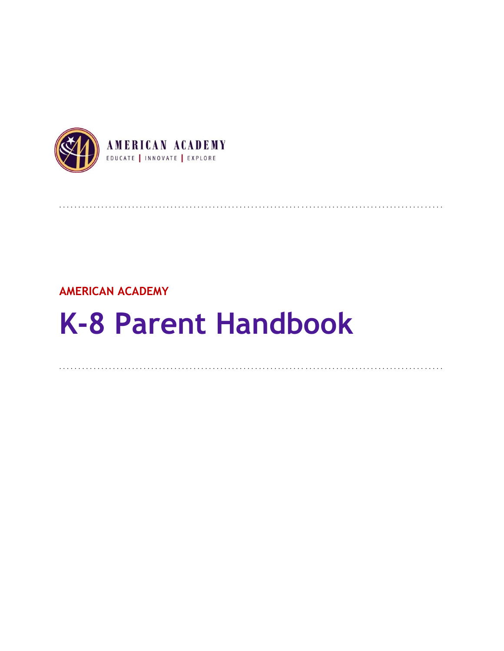

## **AMERICAN ACADEMY**

# **K-8 Parent Handbook**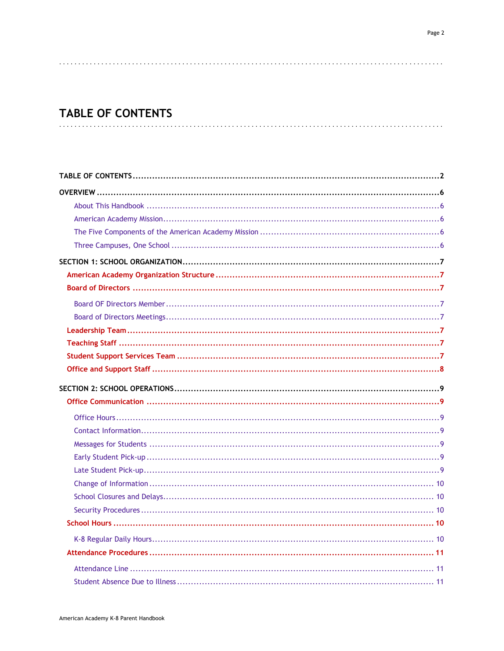## **TABLE OF CONTENTS**

<span id="page-1-0"></span>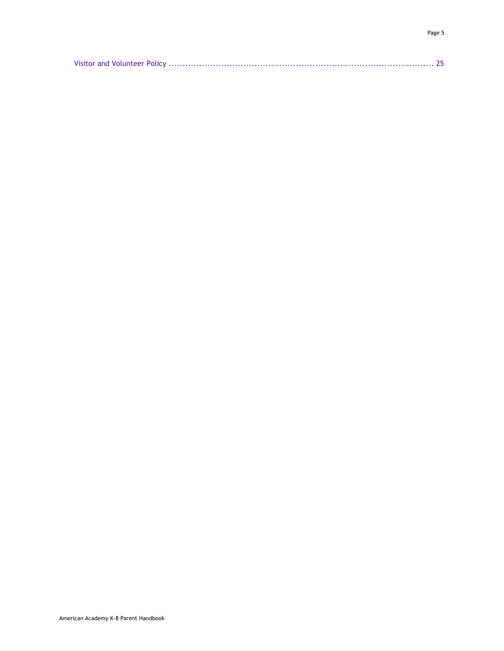|--|--|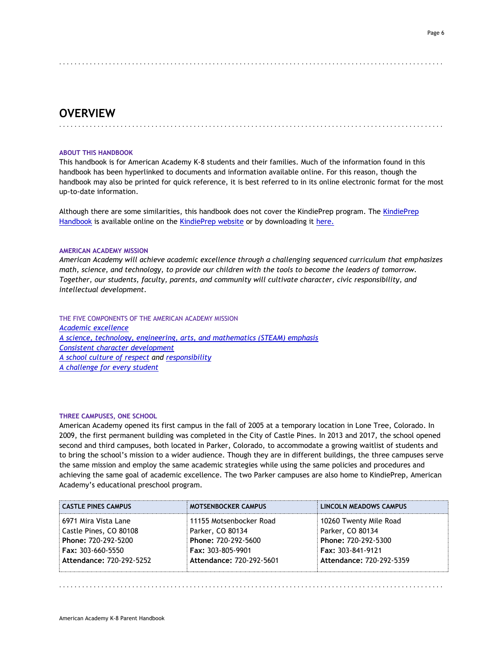#### Page 6

## <span id="page-5-0"></span>. . . . . . . . . . . . . . . . . . . . . . . . . . . . . . . . . . . . . . . . . . . . . . . . . . . . . . . . . . . . . . . . . . . . . . . . . . . . . . . . . . . . . . . . . . . . . . . . . . . .

## **OVERVIEW**

#### **ABOUT THIS HANDBOOK**

This handbook is for American Academy K-8 students and their families. Much of the information found in this handbook has been hyperlinked to documents and information available online. For this reason, though the handbook may also be printed for quick reference, it is best referred to in its online electronic format for the most up-to-date information.

<span id="page-5-1"></span>. . . . . . . . . . . . . . . . . . . . . . . . . . . . . . . . . . . . . . . . . . . . . . . . . . . . . . . . . . . . . . . . . . . . . . . . . . . . . . . . . . . . . . . . . . . . . . . . . . . .

Although there are some similarities, this handbook does not cover the KindiePrep program. The [KindiePrep](http://www.americanacademyk8.org/AADocumentServer/BOD/BODPolicies/KindiePrepParentHandbook.pdf)  [Handbook](http://www.americanacademyk8.org/AADocumentServer/BOD/BODPolicies/KindiePrepParentHandbook.pdf) is available online on the [KindiePrep website](https://kp.aak8.org/) or by downloading it [here.](http://www.americanacademyk8.org/AADocumentServer/BOD/BODPolicies/KindiePrepParentHandbook.pdf)

#### <span id="page-5-2"></span>**AMERICAN ACADEMY MISSION**

*American Academy will achieve academic excellence through a challenging sequenced curriculum that emphasizes math, science, and technology, to provide our children with the tools to become the leaders of tomorrow. Together, our students, faculty, parents, and community will cultivate character, civic responsibility, and intellectual development.*

<span id="page-5-3"></span>THE FIVE COMPONENTS OF THE AMERICAN ACADEMY MISSION *[Academic excellence](http://www.aak8.org/apps/pages/aa-academicrecord) [A science, technology, engineering, arts, and mathematics \(STEAM\) emphasis](http://www.aak8.org/apps/pages/aa-steam-about) [Consistent character development](http://www.aak8.org/apps/pages/aa-character) [A school culture of respect](http://www.aak8.org/apps/pages/aa-character) and [responsibility](http://www.aak8.org/apps/pages/aa-character) [A challenge for every student](http://www.aak8.org/apps/pages/aa-abilitygrouping)*

#### <span id="page-5-4"></span>**THREE CAMPUSES, ONE SCHOOL**

American Academy opened its first campus in the fall of 2005 at a temporary location in Lone Tree, Colorado. In 2009, the first permanent building was completed in the City of Castle Pines. In 2013 and 2017, the school opened second and third campuses, both located in Parker, Colorado, to accommodate a growing waitlist of students and to bring the school's mission to a wider audience. Though they are in different buildings, the three campuses serve the same mission and employ the same academic strategies while using the same policies and procedures and achieving the same goal of academic excellence. The two Parker campuses are also home to KindiePrep, American Academy's educational preschool program.

| <b>CASTLE PINES CAMPUS</b>                           | <b>MOTSENBOCKER CAMPUS</b>                           | <b>LINCOLN MEADOWS CAMPUS</b>                        |
|------------------------------------------------------|------------------------------------------------------|------------------------------------------------------|
| 6971 Mira Vista Lane<br>Castle Pines, CO 80108       | 11155 Motsenbocker Road<br>Parker, CO 80134          | 10260 Twenty Mile Road<br>Parker, CO 80134           |
| Phone: 720-292-5200                                  | Phone: 720-292-5600                                  | Phone: 720-292-5300                                  |
| <b>Fax: 303-660-5550</b><br>Attendance: 720-292-5252 | <b>Fax: 303-805-9901</b><br>Attendance: 720-292-5601 | <b>Fax: 303-841-9121</b><br>Attendance: 720-292-5359 |
|                                                      |                                                      |                                                      |

. . . . . . . . . . . . . . . . . . . . . . . . . . . . . . . . . . . . . . . . . . . . . . . . . . . . . . . . . . . . . . . . . . . . . . . . . . . . . . . . . . . . . . . . . . . . . . . . . . . .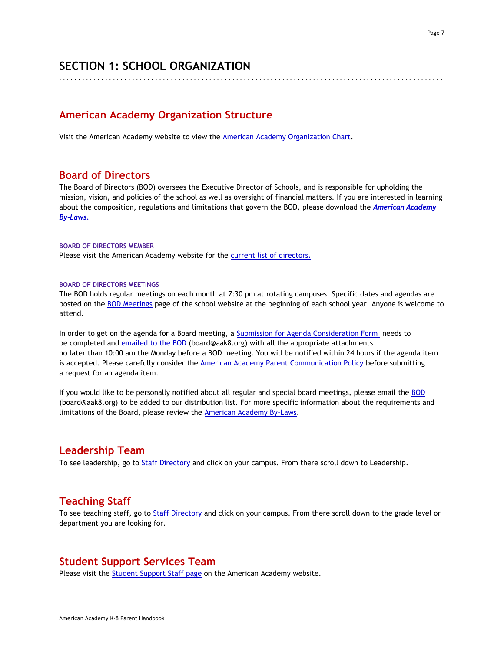## <span id="page-6-0"></span>**SECTION 1: SCHOOL ORGANIZATION**

<span id="page-6-1"></span>. . . . . . . . . . . . . . . . . . . . . . . . . . . . . . . . . . . . . . . . . . . . . . . . . . . . . . . . . . . . . . . . . . . . . . . . . . . . . . . . . . . . . . . . . . . . . . . . . . . .

## **American Academy Organization Structure**

<span id="page-6-2"></span>Visit the American Academy website to view the [American Academy Organization Chart.](http://www.americanacademyk8.org/AADocumentServer/BOD/BODPolicies/AAOrganizationChart.pdf)

## **Board of Directors**

The Board of Directors (BOD) oversees the Executive Director of Schools, and is responsible for upholding the mission, vision, and policies of the school as well as oversight of financial matters. If you are interested in learning about the composition, regulations and limitations that govern the BOD, please download the *[American Academy](http://www.americanacademyk8.org/AADocumentServer/BOD/BODPolicies/AABylaws.pdf)  [By-Laws.](http://www.americanacademyk8.org/AADocumentServer/BOD/BODPolicies/AABylaws.pdf)*

#### <span id="page-6-3"></span>**BOARD OF DIRECTORS MEMBER**

<span id="page-6-4"></span>Please visit the American Academy website for the [current list of directors.](https://www.aak8.org/apps/pages/aa-bod-members)

#### **BOARD OF DIRECTORS MEETINGS**

The BOD holds regular meetings on each month at 7:30 pm at rotating campuses. Specific dates and agendas are posted on the [BOD Meetings](https://www.aak8.org/apps/pages/index.jsp?uREC_ID=810782&type=d&pREC_ID=1192053) page of the school website at the beginning of each school year. Anyone is welcome to attend.

In order to get on the agenda for a Board meeting, a [Submission for Agenda Consideration Form](http://www.americanacademyk8.org/aastaffhome/bod/downloads/SubmissionForAgendaConsiderationForm.pdf) needs to be completed and [emailed to the BOD](mailto:BOD@aak8.org) (board@aak8.org) with all the appropriate attachments no later than 10:00 am the Monday before a BOD meeting. You will be notified within 24 hours if the agenda item is accepted. Please carefully consider the [American Academy Parent Communication Policy b](http://www.americanacademyk8.org/AADocumentServer/BOD/BODPolicies/ParentCommunicationPolicy.pdf)efore submitting a request for an agenda item.

If you would like to be personally notified about all regular and special board meetings, please email the [BOD](mailto:BOD@aak8.org) (board@aak8.org) to be added to our distribution list. For more specific information about the requirements and limitations of the Board, please review the [American Academy By-Laws.](http://www.americanacademyk8.org/AADocumentServer/BOD/BODPolicies/AABylaws.pdf)

## <span id="page-6-5"></span>**Leadership Team**

<span id="page-6-6"></span>To see leadership, go to [Staff Directory](https://www.aak8.org/apps/pages/aa-staffdirectoryhub) and click on your campus. From there scroll down to Leadership.

## **Teaching Staff**

<span id="page-6-7"></span>To see teaching staff, go to [Staff Directory](https://www.aak8.org/apps/pages/aa-staffdirectoryhub) and click on your campus. From there scroll down to the grade level or department you are looking for.

## **Student Support Services Team**

Please visit the **Student Support Staff page on the American Academy website.**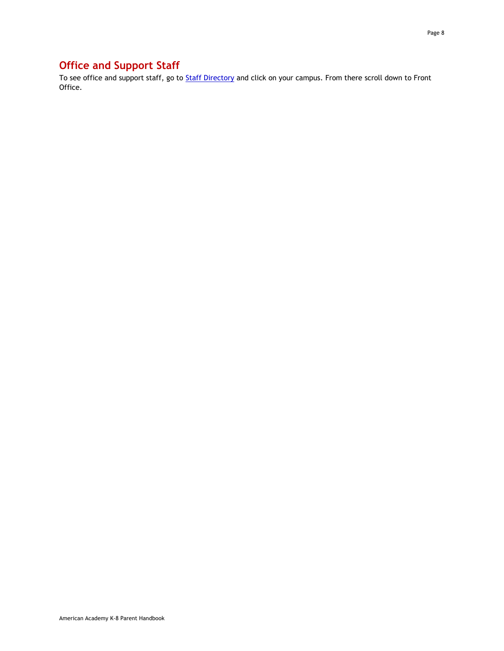## <span id="page-7-0"></span>**Office and Support Staff**

To see office and support staff, go to [Staff Directory](https://www.aak8.org/apps/pages/aa-staffdirectoryhub) and click on your campus. From there scroll down to Front Office.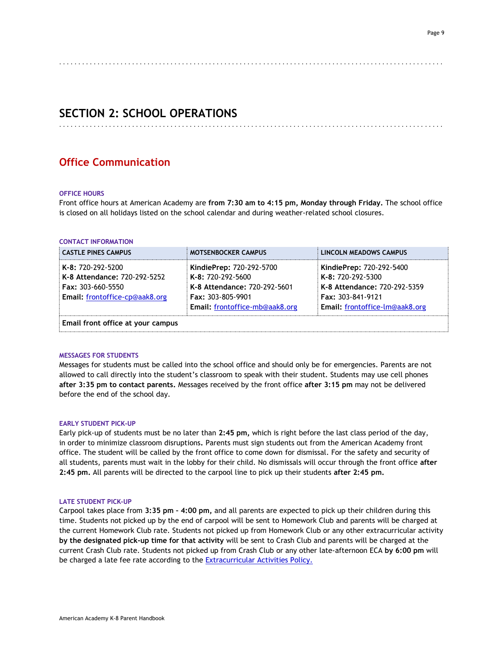#### <span id="page-8-0"></span>. . . . . . . . . . . . . . . . . . . . . . . . . . . . . . . . . . . . . . . . . . . . . . . . . . . . . . . . . . . . . . . . . . . . . . . . . . . . . . . . . . . . . . . . . . . . . . . . . . . .

<span id="page-8-1"></span>. . . . . . . . . . . . . . . . . . . . . . . . . . . . . . . . . . . . . . . . . . . . . . . . . . . . . . . . . . . . . . . . . . . . . . . . . . . . . . . . . . . . . . . . . . . . . . . . . . . .

## **SECTION 2: SCHOOL OPERATIONS**

## <span id="page-8-2"></span>**Office Communication**

#### **OFFICE HOURS**

<span id="page-8-3"></span>Front office hours at American Academy are **from 7:30 am to 4:15 pm, Monday through Friday.** The school office is closed on all holidays listed on the school calendar and during weather-related school closures.

#### **CONTACT INFORMATION**

| <b>CASTLE PINES CAMPUS</b>                                                                                      | <b>MOTSENBOCKER CAMPUS</b>                                                                                                                  | LINCOLN MEADOWS CAMPUS                                                                                                                      |
|-----------------------------------------------------------------------------------------------------------------|---------------------------------------------------------------------------------------------------------------------------------------------|---------------------------------------------------------------------------------------------------------------------------------------------|
| K-8: 720-292-5200<br>K-8 Attendance: 720-292-5252<br><b>Fax: 303-660-5550</b><br>Email: frontoffice-cp@aak8.org | KindiePrep: 720-292-5700<br>K-8: 720-292-5600<br>K-8 Attendance: 720-292-5601<br><b>Fax: 303-805-9901</b><br>Email: frontoffice-mb@aak8.org | KindiePrep: 720-292-5400<br>K-8: 720-292-5300<br>K-8 Attendance: 720-292-5359<br><b>Fax: 303-841-9121</b><br>Email: frontoffice-lm@aak8.org |
| Email front office at your campus                                                                               |                                                                                                                                             |                                                                                                                                             |

#### <span id="page-8-4"></span>**MESSAGES FOR STUDENTS**

Messages for students must be called into the school office and should only be for emergencies. Parents are not allowed to call directly into the student's classroom to speak with their student. Students may use cell phones **after 3:35 pm to contact parents.** Messages received by the front office **after 3:15 pm** may not be delivered before the end of the school day.

#### <span id="page-8-5"></span>**EARLY STUDENT PICK-UP**

Early pick-up of students must be no later than **2:45 pm,** which is right before the last class period of the day, in order to minimize classroom disruptions**.** Parents must sign students out from the American Academy front office. The student will be called by the front office to come down for dismissal. For the safety and security of all students, parents must wait in the lobby for their child. No dismissals will occur through the front office **after 2:45 pm.** All parents will be directed to the carpool line to pick up their students **after 2:45 pm.**

#### <span id="page-8-6"></span>**LATE STUDENT PICK-UP**

Carpool takes place from **3:35 pm – 4:00 pm,** and all parents are expected to pick up their children during this time. Students not picked up by the end of carpool will be sent to Homework Club and parents will be charged at the current Homework Club rate. Students not picked up from Homework Club or any other extracurricular activity **by the designated pick-up time for that activity** will be sent to Crash Club and parents will be charged at the current Crash Club rate. Students not picked up from Crash Club or any other late-afternoon ECA **by 6:00 pm** will be charged a late fee rate according to the [Extracurricular Activities Policy.](http://www.americanacademyk8.org/AADocumentServer/BOD/BODPolicies/ExtracurricularPolicy.pdf)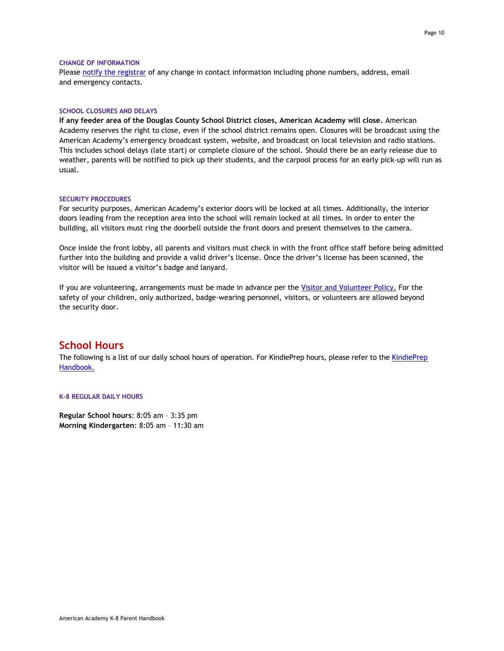#### <span id="page-9-0"></span>**CHANGE OF INFORMATION**

<span id="page-9-1"></span>Please [notify the registrar](mailto:registrar@aak8.org) of any change in contact information including phone numbers, address, email and emergency contacts.

#### **SCHOOL CLOSURES AND DELAYS**

**If any feeder area of the Douglas County School District closes, American Academy will close.** American Academy reserves the right to close, even if the school district remains open. Closures will be broadcast using the American Academy's emergency broadcast system, website, and broadcast on local television and radio stations. This includes school delays (late start) or complete closure of the school. Should there be an early release due to weather, parents will be notified to pick up their students, and the carpool process for an early pick-up will run as usual.

#### <span id="page-9-2"></span>**SECURITY PROCEDURES**

For security purposes, American Academy's exterior doors will be locked at all times. Additionally, the interior doors leading from the reception area into the school will remain locked at all times. In order to enter the building, all visitors must ring the doorbell outside the front doors and present themselves to the camera.

Once inside the front lobby, all parents and visitors must check in with the front office staff before being admitted further into the building and provide a valid driver's license. Once the driver's license has been scanned, the visitor will be issued a visitor's badge and lanyard.

If you are volunteering, arrangements must be made in advance per the [Visitor and Volunteer Policy.](http://www.americanacademyk8.org/AADocumentServer/BOD/BODPolicies/Visitor&VolunteerPolicy.pdf) For the safety of your children, only authorized, badge-wearing personnel, visitors, or volunteers are allowed beyond the security door.

## <span id="page-9-3"></span>**School Hours**

<span id="page-9-4"></span>The following is a list of our daily school hours of operation. For [KindiePrep](http://www.americanacademyk8.org/AADocumentServer/BOD/BODPolicies/KindiePrepParentHandbook.pdf) hours, please refer to the KindiePrep [Handbook.](http://www.americanacademyk8.org/AADocumentServer/BOD/BODPolicies/KindiePrepParentHandbook.pdf)

#### **K-8 REGULAR DAILY HOURS**

**Regular School hours**: 8:05 am – 3:35 pm **Morning Kindergarten**: 8:05 am – 11:30 am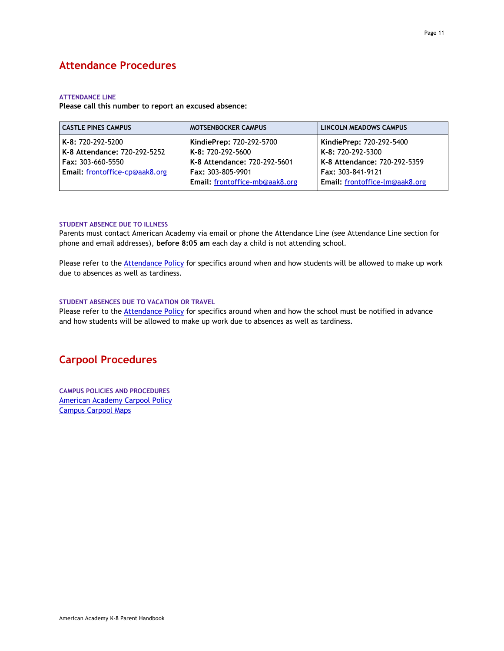## <span id="page-10-1"></span><span id="page-10-0"></span>**Attendance Procedures**

#### **ATTENDANCE LINE**

**Please call this number to report an excused absence:**

| <b>CASTLE PINES CAMPUS</b>     | <b>MOTSENBOCKER CAMPUS</b>     | LINCOLN MEADOWS CAMPUS         |
|--------------------------------|--------------------------------|--------------------------------|
| l <b>K-8:</b> 720-292-5200     | KindiePrep: 720-292-5700       | KindiePrep: 720-292-5400       |
| K-8 Attendance: 720-292-5252   | K-8: 720-292-5600              | K-8: 720-292-5300              |
| l Fax: 303-660-5550            | K-8 Attendance: 720-292-5601   | K-8 Attendance: 720-292-5359   |
| Email: frontoffice-cp@aak8.org | <b>Fax: 303-805-9901</b>       | Fax: 303-841-9121              |
|                                | Email: frontoffice-mb@aak8.org | Email: frontoffice-lm@aak8.org |

#### <span id="page-10-2"></span>**STUDENT ABSENCE DUE TO ILLNESS**

Parents must contact American Academy via email or phone the Attendance Line (see Attendance Line section for phone and email addresses), **before 8:05 am** each day a child is not attending school.

Please refer to th[e Attendance Policy](http://www.americanacademyk8.org/AADocumentServer/BOD/BODPolicies/AttendancePolicy.pdf) for specifics around when and how students will be allowed to make up work due to absences as well as tardiness.

#### <span id="page-10-3"></span>**STUDENT ABSENCES DUE TO VACATION OR TRAVEL**

<span id="page-10-4"></span>Please refer to the **Attendance Policy** for specifics around when and how the school must be notified in advance and how students will be allowed to make up work due to absences as well as tardiness.

## <span id="page-10-5"></span>**Carpool Procedures**

**CAMPUS POLICIES AND PROCEDURES** [American Academy Carpool Policy](http://www.americanacademyk8.org/AADocumentServer/BOD/BODPolicies/CarpoolPolicy.pdf) Campus [Carpool Maps](https://www.aak8.org/apps/pages/aa-carpool-maps)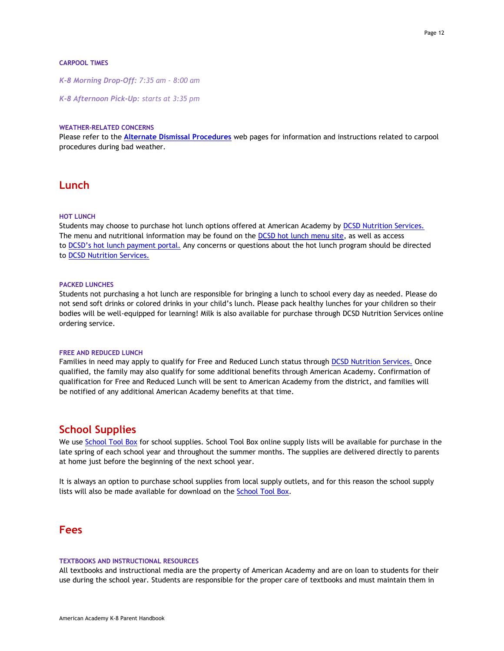#### <span id="page-11-0"></span>**CARPOOL TIMES**

*K-8 Morning Drop-Off: 7:35 am - 8:00 am*

<span id="page-11-1"></span>*K-8 Afternoon Pick-Up: starts at 3:35 pm*

#### **WEATHER-RELATED CONCERNS**

<span id="page-11-2"></span>Please refer to the **[Alternate Dismissal Procedures](https://www.aak8.org/apps/pages/aa-carpool-altdismiss)** web pages for information and instructions related to carpool procedures during bad weather.

## <span id="page-11-3"></span>**Lunch**

#### **HOT LUNCH**

Students may choose to purchase hot lunch options offered at American Academy by [DCSD Nutrition Services.](http://dcsdnutritionservices.org/) The menu and nutritional information may be found on the [DCSD hot lunch menu site,](https://dcsd.nutrislice.com/menu/) as well as access to [DCSD's hot lunch p](https://www.myschoolbucks.com/ver2/login/getmain?requestAction=home)ayment portal. Any concerns or questions about the hot lunch program should be directed to [DCSD Nutrition Services.](http://dcsdnutritionservices.org/)

#### <span id="page-11-4"></span>**PACKED LUNCHES**

Students not purchasing a hot lunch are responsible for bringing a lunch to school every day as needed. Please do not send soft drinks or colored drinks in your child's lunch. Please pack healthy lunches for your children so their bodies will be well-equipped for learning! Milk is also available for purchase through DCSD Nutrition Services online ordering service.

#### <span id="page-11-5"></span>**FREE AND REDUCED LUNCH**

Families in need may apply to qualify for Free and Reduced Lunch status through [DCSD Nutrition Services.](https://www.applyforlunch.com/Application) Once qualified, the family may also qualify for some additional benefits through American Academy. Confirmation of qualification for Free and Reduced Lunch will be sent to American Academy from the district, and families will be notified of any additional American Academy benefits at that time.

## <span id="page-11-6"></span>**School Supplies**

We use [School](https://www.schooltoolbox.com/stbDirect/index.php?r=user/login) Tool Box for school supplies. School Tool Box online supply lists will be available for purchase in the late spring of each school year and throughout the summer months. The supplies are delivered directly to parents at home just before the beginning of the next school year.

<span id="page-11-7"></span>It is always an option to purchase school supplies from local supply outlets, and for this reason the school supply lists will also be made available for download on th[e School](https://www.schooltoolbox.com/stbDirect/index.php?r=user/login) Tool Box.

## <span id="page-11-8"></span>**Fees**

#### **TEXTBOOKS AND INSTRUCTIONAL RESOURCES**

All textbooks and instructional media are the property of American Academy and are on loan to students for their use during the school year. Students are responsible for the proper care of textbooks and must maintain them in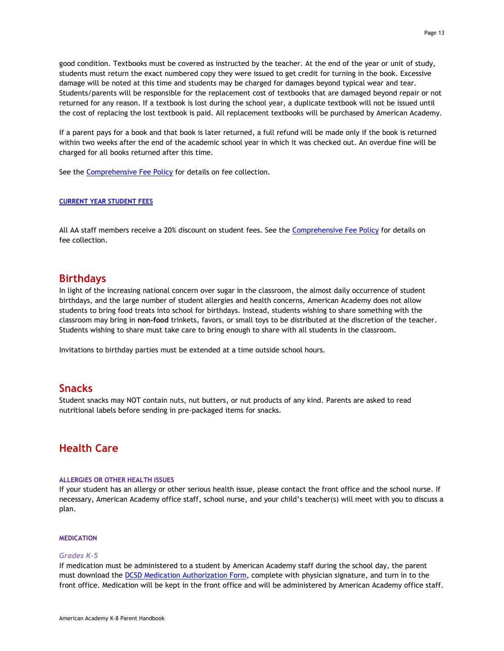good condition. Textbooks must be covered as instructed by the teacher. At the end of the year or unit of study, students must return the exact numbered copy they were issued to get credit for turning in the book. Excessive damage will be noted at this time and students may be charged for damages beyond typical wear and tear. Students/parents will be responsible for the replacement cost of textbooks that are damaged beyond repair or not returned for any reason. If a textbook is lost during the school year, a duplicate textbook will not be issued until the cost of replacing the lost textbook is paid. All replacement textbooks will be purchased by American Academy.

If a parent pays for a book and that book is later returned, a full refund will be made only if the book is returned within two weeks after the end of the academic school year in which it was checked out. An overdue fine will be charged for all books returned after this time.

<span id="page-12-0"></span>See the [Comprehensive Fee Policy](http://www.americanacademyk8.org/AADocumentServer/BOD/BODPolicies/ComprehensiveFeePolicy.pdf) for details on fee collection.

#### **[CURRENT YEAR](https://www.aak8.org/apps/pages/aa-business-studentfees) STUDENT FEES**

<span id="page-12-1"></span>All AA staff members receive a 20% discount on student fees. See the [Comprehensive Fee Policy](http://www.americanacademyk8.org/AADocumentServer/BOD/BODPolicies/ComprehensiveFeePolicy.pdf) for details on fee collection.

## **Birthdays**

In light of the increasing national concern over sugar in the classroom, the almost daily occurrence of student birthdays, and the large number of student allergies and health concerns, American Academy does not allow students to bring food treats into school for birthdays. Instead, students wishing to share something with the classroom may bring in **non-food** trinkets, favors, or small toys to be distributed at the discretion of the teacher. Students wishing to share must take care to bring enough to share with all students in the classroom.

<span id="page-12-2"></span>Invitations to birthday parties must be extended at a time outside school hours.

## **Snacks**

<span id="page-12-3"></span>Student snacks may NOT contain nuts, nut butters, or nut products of any kind. Parents are asked to read nutritional labels before sending in pre-packaged items for snacks.

## <span id="page-12-4"></span>**Health Care**

#### **ALLERGIES OR OTHER HEALTH ISSUES**

If your student has an allergy or other serious health issue, please contact the front office and the school nurse. If necessary, American Academy office staff, school nurse, and your child's teacher(s) will meet with you to discuss a plan.

#### <span id="page-12-5"></span>**MEDICATION**

#### *Grades K-5*

If medication must be administered to a student by American Academy staff during the school day, the parent must download the [DCSD Medication Authorization Form,](http://www.americanacademyk8.org/aastaffhome/BOD/forms/medical/MedicationAuthorizationForm.pdf) complete with physician signature, and turn in to the front office. Medication will be kept in the front office and will be administered by American Academy office staff.

Page 13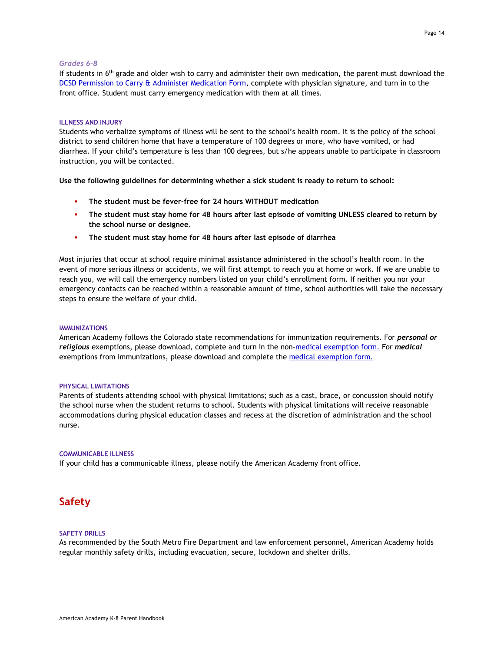#### *Grades 6-8*

If students in 6<sup>th</sup> grade and older wish to carry and administer their own medication, the parent must download the DCSD Permission to Carry [& Administer Medication Form,](http://www.americanacademyk8.org/aastaffhome/BOD/forms/medical/PermissionToCarry&AdministerMedication.pdf) complete with physician signature, and turn in to the front office. Student must carry emergency medication with them at all times.

#### <span id="page-13-0"></span>**ILLNESS AND INJURY**

Students who verbalize symptoms of illness will be sent to the school's health room. It is the policy of the school district to send children home that have a temperature of 100 degrees or more, who have vomited, or had diarrhea. If your child's temperature is less than 100 degrees, but s/he appears unable to participate in classroom instruction, you will be contacted.

**Use the following guidelines for determining whether a sick student is ready to return to school:**

- **The student must be fever-free for 24 hours WITHOUT medication**
- **The student must stay home for 48 hours after last episode of vomiting UNLESS cleared to return by the school nurse or designee.**
- **The student must stay home for 48 hours after last episode of diarrhea**

Most injuries that occur at school require minimal assistance administered in the school's health room. In the event of more serious illness or accidents, we will first attempt to reach you at home or work. If we are unable to reach you, we will call the emergency numbers listed on your child's enrollment form. If neither you nor your emergency contacts can be reached within a reasonable amount of time, school authorities will take the necessary steps to ensure the welfare of your child.

#### <span id="page-13-1"></span>**IMMUNIZATIONS**

American Academy follows the Colorado state recommendations for immunization requirements. For *personal or religious* exemptions, please download, complete and turn in the non[-medical exemption form.](https://www.colorado.gov/pacific/cdphe/vaccine-exemptions) For *medical* exemptions from immunizations, please download and complete the [medical exemption form.](https://www.colorado.gov/pacific/cdphe/vaccine-exemptions)

#### <span id="page-13-2"></span>**PHYSICAL LIMITATIONS**

Parents of students attending school with physical limitations; such as a cast, brace, or concussion should notify the school nurse when the student returns to school. Students with physical limitations will receive reasonable accommodations during physical education classes and recess at the discretion of administration and the school nurse.

#### <span id="page-13-3"></span>**COMMUNICABLE ILLNESS**

<span id="page-13-4"></span>If your child has a communicable illness, please notify the American Academy front office.

## <span id="page-13-5"></span>**Safety**

#### **SAFETY DRILLS**

As recommended by the South Metro Fire Department and law enforcement personnel, American Academy holds regular monthly safety drills, including evacuation, secure, lockdown and shelter drills.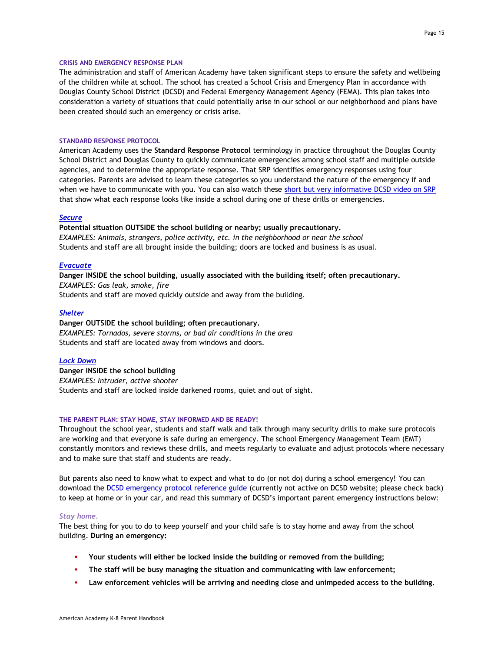#### <span id="page-14-0"></span>**CRISIS AND EMERGENCY RESPONSE PLAN**

The administration and staff of American Academy have taken significant steps to ensure the safety and wellbeing of the children while at school. The school has created a School Crisis and Emergency Plan in accordance with Douglas County School District (DCSD) and Federal Emergency Management Agency (FEMA). This plan takes into consideration a variety of situations that could potentially arise in our school or our neighborhood and plans have been created should such an emergency or crisis arise.

#### <span id="page-14-1"></span>**STANDARD RESPONSE PROTOCOL**

American Academy uses the **Standard Response Protocol** terminology in practice throughout the Douglas County School District and Douglas County to quickly communicate emergencies among school staff and multiple outside agencies, and to determine the appropriate response. That SRP identifies emergency responses using four categories. Parents are advised to learn these categories so you understand the nature of the emergency if and when we have to communicate with you. You can also watch these [short but very informative DCSD video on SRP](https://youtu.be/kEliQqrSL1U) that show what each response looks like inside a school during one of these drills or emergencies.

#### *[Secure](http://dcsd.web.video.s3.amazonaws.com/videos/converted/7415/Lockout_vs_Lockdown_mp4_1410360045.mp4)*

**Potential situation OUTSIDE the school building or nearby; usually precautionary.**  *EXAMPLES: Animals, strangers, police activity, etc. in the neighborhood or near the school* Students and staff are all brought inside the building; doors are locked and business is as usual.

#### *[Evacuate](http://dcsd.web.video.s3.amazonaws.com/videos/converted/7588/Evacuate_mp4_1411653948.mp4)*

**Danger INSIDE the school building, usually associated with the building itself; often precautionary.**  *EXAMPLES: Gas leak, smoke, fire*  Students and staff are moved quickly outside and away from the building.

#### *[Shelter](http://dcsd.web.video.s3.amazonaws.com/videos/converted/7517/Shelter_mp4_1410987992.mp4)*

**Danger OUTSIDE the school building; often precautionary.** *EXAMPLES: Tornados, severe storms, or bad air conditions in the area* Students and staff are located away from windows and doors.

#### *[Lock Down](http://dcsd.web.video.s3.amazonaws.com/videos/converted/7415/Lockout_vs_Lockdown_mp4_1410360045.mp4)*

**Danger INSIDE the school building** *EXAMPLES: Intruder, active shooter* Students and staff are locked inside darkened rooms, quiet and out of sight.

#### <span id="page-14-2"></span>**THE PARENT PLAN: STAY HOME, STAY INFORMED AND BE READY!**

Throughout the school year, students and staff walk and talk through many security drills to make sure protocols are working and that everyone is safe during an emergency. The school Emergency Management Team (EMT) constantly monitors and reviews these drills, and meets regularly to evaluate and adjust protocols where necessary and to make sure that staff and students are ready.

But parents also need to know what to expect and what to do (or not do) during a school emergency! You can download the [DCSD emergency protocol reference guide](https://issuu.com/douglascountyschooldistrict/docs/a_parent_s_guide_to_crisis_communications) (currently not active on DCSD website; please check back) to keep at home or in your car, and read this summary of DCSD's important parent emergency instructions below:

#### *Stay home.*

The best thing for you to do to keep yourself and your child safe is to stay home and away from the school building. **During an emergency:**

- **Your students will either be locked inside the building or removed from the building;**
- **The staff will be busy managing the situation and communicating with law enforcement;**
- **Law enforcement vehicles will be arriving and needing close and unimpeded access to the building.**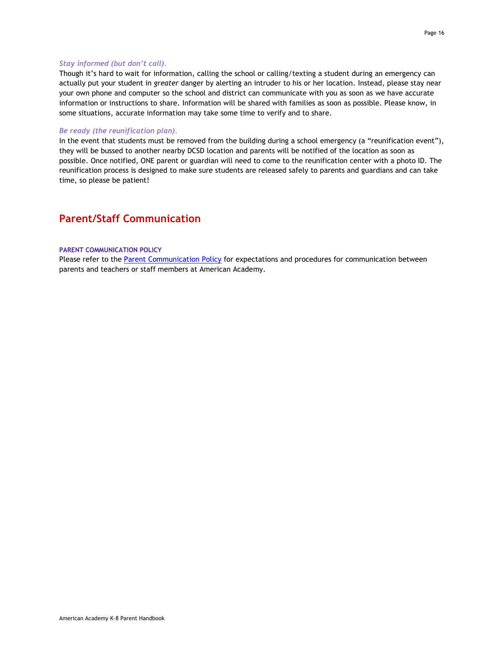#### *Stay informed (but don't call).*

Though it's hard to wait for information, calling the school or calling/texting a student during an emergency can actually put your student in *greater* danger by alerting an intruder to his or her location. Instead, please stay near your own phone and computer so the school and district can communicate with you as soon as we have accurate information or instructions to share. Information will be shared with families as soon as possible. Please know, in some situations, accurate information may take some time to verify and to share.

#### *Be ready (the reunification plan).*

In the event that students must be removed from the building during a school emergency (a "reunification event"), they will be bussed to another nearby DCSD location and parents will be notified of the location as soon as possible. Once notified, ONE parent or guardian will need to come to the reunification center with a photo ID. The reunification process is designed to make sure students are released safely to parents and guardians and can take time, so please be patient!

## <span id="page-15-1"></span><span id="page-15-0"></span>**Parent/Staff Communication**

#### **PARENT COMMUNICATION POLICY**

Please refer to th[e Parent Communication Policy](http://www.americanacademyk8.org/AADocumentServer/BOD/BODPolicies/ParentCommunicationPolicy.pdf) for expectations and procedures for communication between parents and teachers or staff members at American Academy.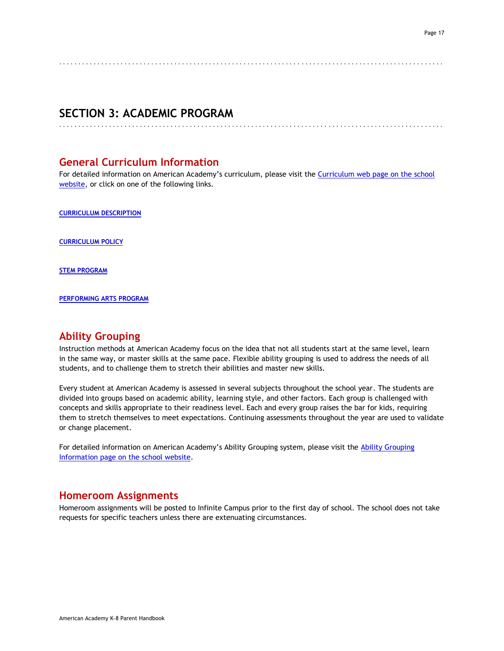#### <span id="page-16-0"></span>. . . . . . . . . . . . . . . . . . . . . . . . . . . . . . . . . . . . . . . . . . . . . . . . . . . . . . . . . . . . . . . . . . . . . . . . . . . . . . . . . . . . . . . . . . . . . . . . . . . .

<span id="page-16-1"></span>. . . . . . . . . . . . . . . . . . . . . . . . . . . . . . . . . . . . . . . . . . . . . . . . . . . . . . . . . . . . . . . . . . . . . . . . . . . . . . . . . . . . . . . . . . . . . . . . . . . .

## **SECTION 3: ACADEMIC PROGRAM**

## **General Curriculum Information**

<span id="page-16-2"></span>For detailed information on American Academy's curriculum, please visit the Curriculum web page on the school [website,](https://www.aak8.org/apps/pages/aa-curriculum) or click on one of the following links.

<span id="page-16-3"></span>**[CURRICULUM DESCRIPTION](https://www.aak8.org/apps/pages/aa-curriculum)**

<span id="page-16-4"></span>**[CURRICULUM POLICY](http://www.americanacademyk8.org/AADocumentServer/BOD/BODPolicies/CurriculumPolicy.pdf)**

<span id="page-16-5"></span>**[STEM PROGRAM](https://www.aak8.org/apps/pages/aa-stem-discovery)**

<span id="page-16-6"></span>**[PERFORMING ARTS PROGRAM](https://www.aak8.org/apps/pages/aa-apaa-program)**

## **Ability Grouping**

Instruction methods at American Academy focus on the idea that not all students start at the same level, learn in the same way, or master skills at the same pace. Flexible ability grouping is used to address the needs of all students, and to challenge them to stretch their abilities and master new skills.

Every student at American Academy is assessed in several subjects throughout the school year. The students are divided into groups based on academic ability, learning style, and other factors. Each group is challenged with concepts and skills appropriate to their readiness level. Each and every group raises the bar for kids, requiring them to stretch themselves to meet expectations. Continuing assessments throughout the year are used to validate or change placement.

<span id="page-16-7"></span>For detailed information on American Academy's [Ability Grouping](https://www.aak8.org/apps/pages/aa-abilitygrouping) system, please visit the Ability Grouping [Information page on the school website.](https://www.aak8.org/apps/pages/aa-abilitygrouping)

## **Homeroom Assignments**

Homeroom assignments will be posted to Infinite Campus prior to the first day of school. The school does not take requests for specific teachers unless there are extenuating circumstances.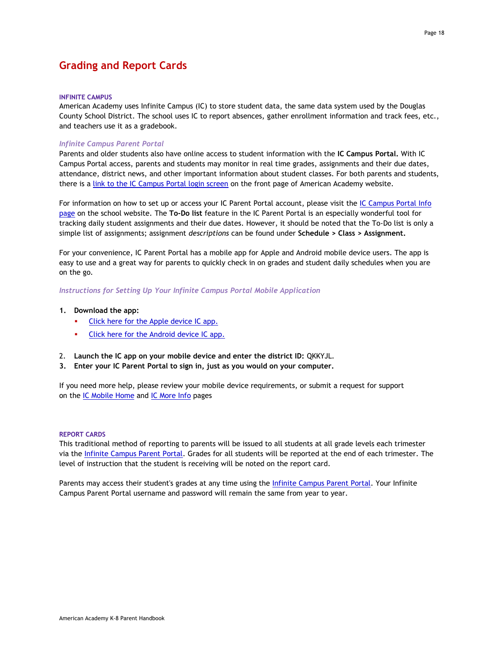## <span id="page-17-1"></span><span id="page-17-0"></span>**Grading and Report Cards**

#### **INFINITE CAMPUS**

American Academy uses Infinite Campus (IC) to store student data, the same data system used by the Douglas County School District. The school uses IC to report absences, gather enrollment information and track fees, etc., and teachers use it as a gradebook.

#### *Infinite Campus Parent Portal*

Parents and older students also have online access to student information with the **IC Campus Portal.** With IC Campus Portal access, parents and students may monitor in real time grades, assignments and their due dates, attendance, district news, and other important information about student classes. For both parents and students, there is a [link to the IC Campus Portal login screen](https://campus.dcsdk12.org/icprod/portal/icprod.jsp) on the front page of American Academy website.

For information on how to set up or access your IC Parent Portal account, please visit the IC Campus Portal Info [page](https://www.aak8.org/apps/pages/aa-ic-access) on the school website. The **To-Do list** feature in the IC Parent Portal is an especially wonderful tool for tracking daily student assignments and their due dates. However, it should be noted that the To-Do list is only a simple list of assignments; assignment *descriptions* can be found under **Schedule > Class > Assignment.**

For your convenience, IC Parent Portal has a mobile app for Apple and Android mobile device users. The app is easy to use and a great way for parents to quickly check in on grades and student daily schedules when you are on the go.

*Instructions for Setting Up Your Infinite Campus Portal Mobile Application*

- **1. Download the app:**
	- [Click here for the Apple device IC app.](https://itunes.apple.com/us/app/campus-parent/id1384542785?mt=8)
	- [Click here for the Android device IC app.](https://play.google.com/store/apps/details?id=com.infinitecampus.parent.campusportalhybrid&scrlybrkr=71d284e7)
- 2. **Launch the IC app on your mobile device and enter the district ID:** QKKYJL.
- **3. Enter your IC Parent Portal to sign in, just as you would on your computer.**

If you need more help, please review your mobile device requirements, or submit a request for support on the [IC Mobile Home](http://infinitecampus.com/mobile) and [IC More Info](http://media.infinitecampus.com/public/html/mobile/faq.html) pages

#### <span id="page-17-2"></span>**REPORT CARDS**

This traditional method of reporting to parents will be issued to all students at all grade levels each trimester via the [Infinite Campus Parent Portal.](https://www.aak8.org/apps/pages/aa-ic-access) Grades for all students will be reported at the end of each trimester. The level of instruction that the student is receiving will be noted on the report card.

Parents may access their student's grades at any time using the [Infinite Campus Parent Portal.](https://www.aak8.org/apps/pages/aa-ic-access) Your Infinite Campus Parent Portal username and password will remain the same from year to year.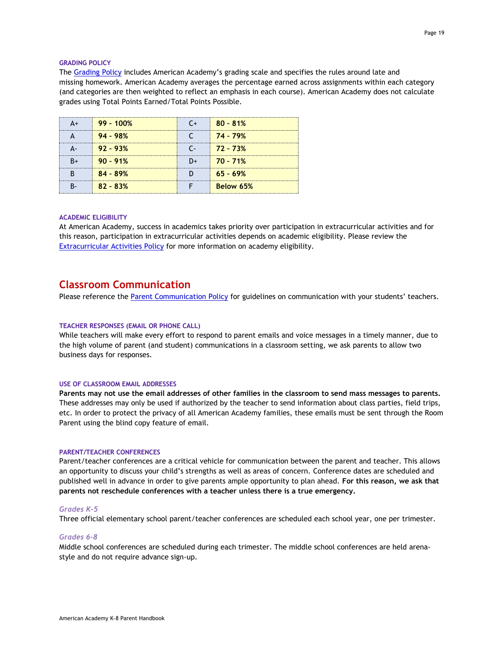#### <span id="page-18-0"></span>**GRADING POLICY**

The [Grading Policy](http://www.americanacademyk8.org/AADocumentServer/BOD/BODPolicies/GradingPolicy.pdf) includes American Academy's grading scale and specifies the rules around late and missing homework. American Academy averages the percentage earned across assignments within each category (and categories are then weighted to reflect an emphasis in each course). American Academy does not calculate grades using Total Points Earned/Total Points Possible.

| $99 - 100%$ | $80 - 81%$ |
|-------------|------------|
| $94 - 98%$  | 74 - 79%   |
| $92 - 93%$  | 72 - 73%   |
| $90 - 91%$  | $70 - 71%$ |
| $84 - 89%$  | $65 - 69%$ |
| $82 - 83%$  | Below 65%  |

#### <span id="page-18-1"></span>**ACADEMIC ELIGIBILITY**

At American Academy, success in academics takes priority over participation in extracurricular activities and for this reason, participation in extracurricular activities depends on academic eligibility. Please review the **[Extracurricular Activities Policy](http://www.americanacademyk8.org/AADocumentServer/BOD/BODPolicies/ExtracurricularPolicy.pdf) for more information on academy eligibility.** 

## <span id="page-18-2"></span>**Classroom Communication**

<span id="page-18-3"></span>Please reference th[e Parent Communication Policy](http://www.americanacademyk8.org/AADocumentServer/BOD/BODPolicies/ParentCommunicationPolicy.pdf) for guidelines on communication with your students' teachers.

#### **TEACHER RESPONSES (EMAIL OR PHONE CALL)**

While teachers will make every effort to respond to parent emails and voice messages in a timely manner, due to the high volume of parent (and student) communications in a classroom setting, we ask parents to allow two business days for responses.

#### <span id="page-18-4"></span>**USE OF CLASSROOM EMAIL ADDRESSES**

**Parents may not use the email addresses of other families in the classroom to send mass messages to parents.** These addresses may only be used if authorized by the teacher to send information about class parties, field trips, etc. In order to protect the privacy of all American Academy families, these emails must be sent through the Room Parent using the blind copy feature of email.

#### <span id="page-18-5"></span>**PARENT/TEACHER CONFERENCES**

Parent/teacher conferences are a critical vehicle for communication between the parent and teacher. This allows an opportunity to discuss your child's strengths as well as areas of concern. Conference dates are scheduled and published well in advance in order to give parents ample opportunity to plan ahead. **For this reason, we ask that parents not reschedule conferences with a teacher unless there is a true emergency.**

#### *Grades K-5*

Three official elementary school parent/teacher conferences are scheduled each school year, one per trimester.

#### *Grades 6-8*

Middle school conferences are scheduled during each trimester. The middle school conferences are held arenastyle and do not require advance sign-up.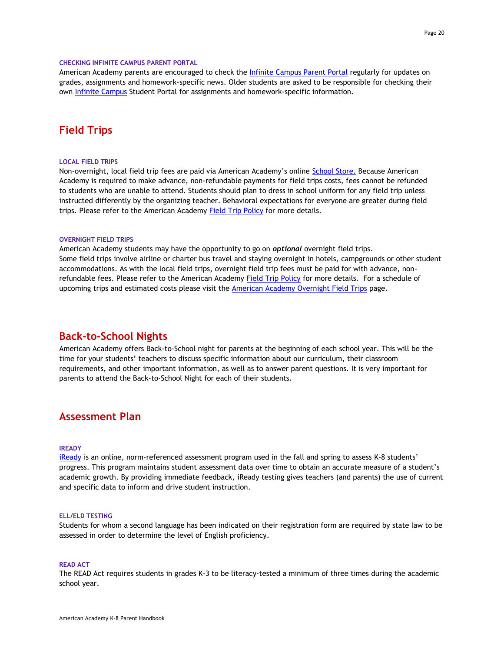#### <span id="page-19-0"></span>**CHECKING INFINITE CAMPUS PARENT PORTAL**

American Academy parents are encouraged to check the [Infinite Campus Parent Portal](https://campus.dcsdk12.org/icprod/portal/icprod.jsp) regularly for updates on grades, assignments and homework-specific news. Older students are asked to be responsible for checking their own [Infinite Campus](https://campus.dcsdk12.org/icprod/portal/icprod.jsp) Student Portal for assignments and homework-specific information.

## <span id="page-19-2"></span><span id="page-19-1"></span>**Field Trips**

#### **LOCAL FIELD TRIPS**

Non-overnight, local field trip fees are paid via American Academy's online [School Store.](http://americanacademyk8.revtrak.net/tek9.asp?pg=default) Because American Academy is required to make advance, non-refundable payments for field trips costs, fees cannot be refunded to students who are unable to attend. Students should plan to dress in school uniform for any field trip unless instructed differently by the organizing teacher. Behavioral expectations for everyone are greater during field trips. Please refer to the American Academy [Field Trip Policy](http://www.americanacademyk8.org/AADocumentServer/BOD/BODPolicies/FieldTripPolicy.pdf) for more details.

#### <span id="page-19-3"></span>**OVERNIGHT FIELD TRIPS**

American Academy students may have the opportunity to go on *optional* overnight field trips. Some field trips involve airline or charter bus travel and staying overnight in hotels, campgrounds or other student accommodations. As with the local field trips, overnight field trip fees must be paid for with advance, non-refundable fees. Please refer to the American Academy [Field Trip Policy](http://www.americanacademyk8.org/AADocumentServer/BOD/BODPolicies/FieldTripPolicy.pdf) for more details. For a schedule of upcoming trips and estimated costs please visit the [American Academy Overnight Field Trips](https://www.aak8.org/apps/pages/aa-overnights-about) page.

## <span id="page-19-4"></span>**Back-to-School Nights**

American Academy offers Back-to-School night for parents at the beginning of each school year. This will be the time for your students' teachers to discuss specific information about our curriculum, their classroom requirements, and other important information, as well as to answer parent questions. It is very important for parents to attend the Back-to-School Night for each of their students.

## <span id="page-19-6"></span><span id="page-19-5"></span>**Assessment Plan**

#### **IREADY**

[iReady](http://www.i-ready.com/) is an online, norm-referenced assessment program used in the fall and spring to assess K-8 students' progress. This program maintains student assessment data over time to obtain an accurate measure of a student's academic growth. By providing immediate feedback, iReady testing gives teachers (and parents) the use of current and specific data to inform and drive student instruction.

#### <span id="page-19-7"></span>**ELL/ELD TESTING**

<span id="page-19-8"></span>Students for whom a second language has been indicated on their registration form are required by state law to be assessed in order to determine the level of English proficiency.

#### **READ ACT**

The READ Act requires students in grades K-3 to be literacy-tested a minimum of three times during the academic school year.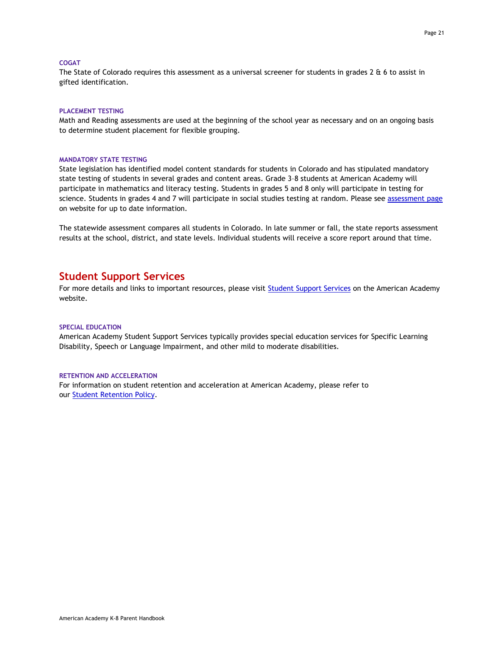#### <span id="page-20-0"></span>**COGAT**

<span id="page-20-1"></span>The State of Colorado requires this assessment as a universal screener for students in grades 2 & 6 to assist in gifted identification.

#### **PLACEMENT TESTING**

<span id="page-20-2"></span>Math and Reading assessments are used at the beginning of the school year as necessary and on an ongoing basis to determine student placement for flexible grouping.

#### **MANDATORY STATE TESTING**

State legislation has identified model content standards for students in Colorado and has stipulated mandatory state testing of students in several grades and content areas. Grade 3–8 students at American Academy will participate in mathematics and literacy testing. Students in grades 5 and 8 only will participate in testing for science. Students in grades 4 and 7 will participate in social studies testing at random. Please see [assessment page](https://www.aak8.org/apps/pages/aa-assessments) on website for up to date information.

<span id="page-20-3"></span>The statewide assessment compares all students in Colorado. In late summer or fall, the state reports assessment results at the school, district, and state levels. Individual students will receive a score report around that time.

## **Student Support Services**

<span id="page-20-4"></span>For more details and links to important resources, please visit [Student Support Services](https://www.aak8.org/apps/pages/aa-sss-about) on the American Academy website.

#### **SPECIAL EDUCATION**

American Academy Student Support Services typically provides special education services for Specific Learning Disability, Speech or Language Impairment, and other mild to moderate disabilities.

#### <span id="page-20-5"></span>**RETENTION AND ACCELERATION**

For information on student retention and acceleration at American Academy, please refer to our [Student Retention Policy.](http://www.americanacademyk8.org/AADocumentServer/BOD/BODPolicies/StudentRetentionAccelerationPolicy.pdf)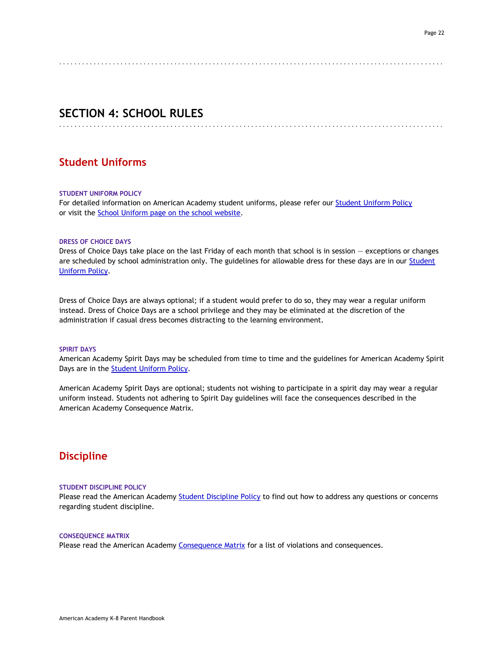#### <span id="page-21-0"></span>. . . . . . . . . . . . . . . . . . . . . . . . . . . . . . . . . . . . . . . . . . . . . . . . . . . . . . . . . . . . . . . . . . . . . . . . . . . . . . . . . . . . . . . . . . . . . . . . . . . .

<span id="page-21-1"></span>. . . . . . . . . . . . . . . . . . . . . . . . . . . . . . . . . . . . . . . . . . . . . . . . . . . . . . . . . . . . . . . . . . . . . . . . . . . . . . . . . . . . . . . . . . . . . . . . . . . .

## **SECTION 4: SCHOOL RULES**

## <span id="page-21-2"></span>**Student Uniforms**

#### **STUDENT UNIFORM POLICY**

<span id="page-21-3"></span>For detailed information on American Academy student uniforms, please refer ou[r Student Uniform Policy](http://www.americanacademyk8.org/AADocumentServer/BOD/BODPolicies/StudentUniformPolicy.pdf) or visit the **School Uniform page on the school website.** 

#### **DRESS OF CHOICE DAYS**

Dress of Choice Days take place on the last Friday of each month that school is in session — exceptions or changes are scheduled by school administration only. The guidelines for allowable dress for these days are in our [Student](http://www.americanacademyk8.org/AADocumentServer/BOD/BODPolicies/StudentUniformPolicy.pdf)  [Uniform Policy.](http://www.americanacademyk8.org/AADocumentServer/BOD/BODPolicies/StudentUniformPolicy.pdf)

Dress of Choice Days are always optional; if a student would prefer to do so, they may wear a regular uniform instead. Dress of Choice Days are a school privilege and they may be eliminated at the discretion of the administration if casual dress becomes distracting to the learning environment.

#### <span id="page-21-4"></span>**SPIRIT DAYS**

American Academy Spirit Days may be scheduled from time to time and the guidelines for American Academy Spirit Days are in the **Student Uniform Policy.** 

American Academy Spirit Days are optional; students not wishing to participate in a spirit day may wear a regular uniform instead. Students not adhering to Spirit Day guidelines will face the consequences described in the American Academy Consequence Matrix.

## <span id="page-21-6"></span><span id="page-21-5"></span>**Discipline**

#### **STUDENT DISCIPLINE POLICY**

<span id="page-21-7"></span>Please read the American Academy [Student Discipline Policy](http://www.americanacademyk8.org/AADocumentServer/BOD/BODPolicies/StudentDisciplinePolicy.pdf) to find out how to address any questions or concerns regarding student discipline.

#### **CONSEQUENCE MATRIX**

Please read the American Academy [Consequence Matrix](http://www.americanacademyk8.org/aastaffhome/BOD/forms/discipline/AAConsequenceMatrix.pdf) for a list of violations and consequences.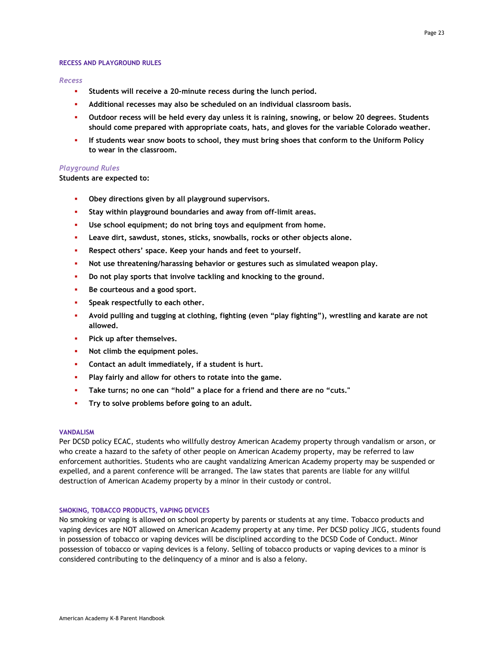#### <span id="page-22-0"></span>**RECESS AND PLAYGROUND RULES**

#### *Recess*

- Students will receive a 20-minute recess during the lunch period.
- **Additional recesses may also be scheduled on an individual classroom basis.**
- **Outdoor recess will be held every day unless it is raining, snowing, or below 20 degrees. Students should come prepared with appropriate coats, hats, and gloves for the variable Colorado weather.**
- **If students wear snow boots to school, they must bring shoes that conform to the Uniform Policy to wear in the classroom.**

#### *Playground Rules*

**Students are expected to:**

- Obey directions given by all playground supervisors.
- Stay within playground boundaries and away from off-limit areas.
- Use school equipment; do not bring toys and equipment from home.
- Leave dirt, sawdust, stones, sticks, snowballs, rocks or other objects alone.
- Respect others' space. Keep your hands and feet to yourself.
- Not use threatening/harassing behavior or gestures such as simulated weapon play.
- **Do not play sports that involve tackling and knocking to the ground.**
- Be courteous and a good sport.
- Speak respectfully to each other.
- **Avoid pulling and tugging at clothing, fighting (even "play fighting"), wrestling and karate are not allowed.**
- Pick up after themselves.
- Not climb the equipment poles.
- **Contact an adult immediately, if a student is hurt.**
- Play fairly and allow for others to rotate into the game.
- Take turns; no one can "hold" a place for a friend and there are no "cuts."
- Try to solve problems before going to an adult.

#### <span id="page-22-1"></span>**VANDALISM**

Per DCSD policy ECAC, students who willfully destroy American Academy property through vandalism or arson, or who create a hazard to the safety of other people on American Academy property, may be referred to law enforcement authorities. Students who are caught vandalizing American Academy property may be suspended or expelled, and a parent conference will be arranged. The law states that parents are liable for any willful destruction of American Academy property by a minor in their custody or control.

#### <span id="page-22-2"></span>**SMOKING, TOBACCO PRODUCTS, VAPING DEVICES**

No smoking or vaping is allowed on school property by parents or students at any time. Tobacco products and vaping devices are NOT allowed on American Academy property at any time. Per DCSD policy JICG, students found in possession of tobacco or vaping devices will be disciplined according to the DCSD Code of Conduct. Minor possession of tobacco or vaping devices is a felony. Selling of tobacco products or vaping devices to a minor is considered contributing to the delinquency of a minor and is also a felony.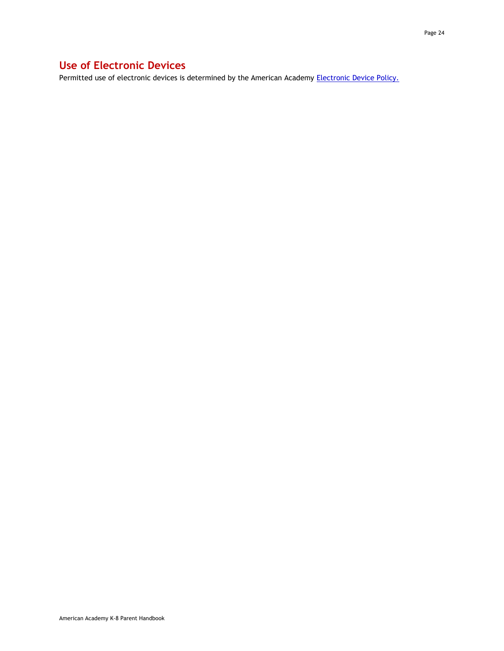## <span id="page-23-0"></span>**Use of Electronic Devices**

Permitted use of electronic devices is determined by the American Academy **Electronic Device Policy.**